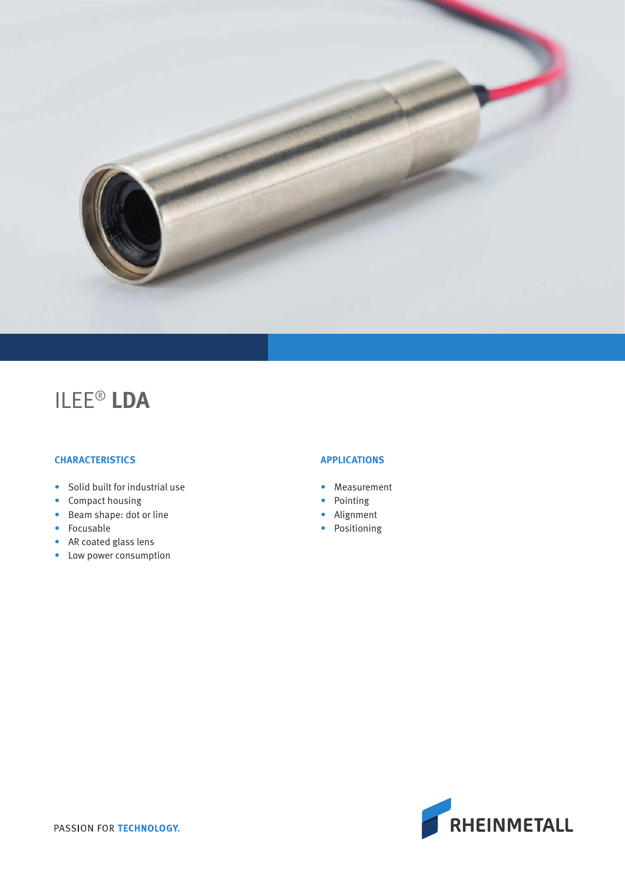

# ILEE® **LDA**

### **CHARACTERISTICS**

- Solid built for industrial use
- Compact housing
- Beam shape: dot or line
- Focusable
- AR coated glass lens
- Low power consumption

#### **APPLICATIONS**

- Measurement
- Pointing
- Alignment
- Positioning